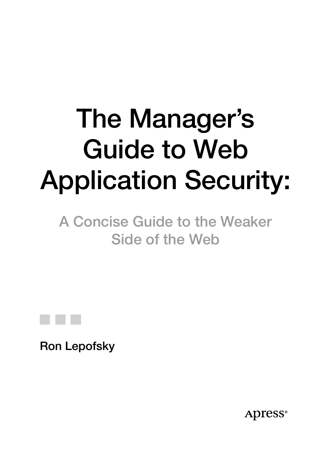# The Manager's Guide to Web Application Security:

A Concise Guide to the Weaker Side of the Web



Ron Lepofsky

Apress<sup>®</sup>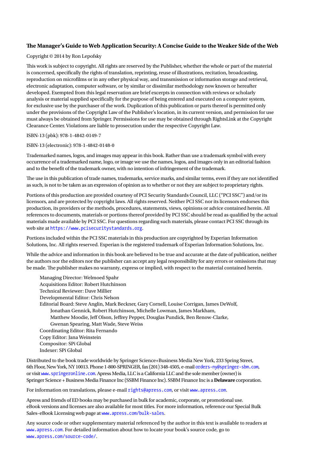#### **The Manager's Guide to Web Application Security: A Concise Guide to the Weaker Side of the Web**

Copyright © 2014 by Ron Lepofsky

This work is subject to copyright. All rights are reserved by the Publisher, whether the whole or part of the material is concerned, specifically the rights of translation, reprinting, reuse of illustrations, recitation, broadcasting, reproduction on microfilms or in any other physical way, and transmission or information storage and retrieval, electronic adaptation, computer software, or by similar or dissimilar methodology now known or hereafter developed. Exempted from this legal reservation are brief excerpts in connection with reviews or scholarly analysis or material supplied specifically for the purpose of being entered and executed on a computer system, for exclusive use by the purchaser of the work. Duplication of this publication or parts thereof is permitted only under the provisions of the Copyright Law of the Publisher's location, in its current version, and permission for use must always be obtained from Springer. Permissions for use may be obtained through RightsLink at the Copyright Clearance Center. Violations are liable to prosecution under the respective Copyright Law.

ISBN-13 (pbk): 978-1-4842-0149-7

#### ISBN-13 (electronic): 978-1-4842-0148-0

Trademarked names, logos, and images may appear in this book. Rather than use a trademark symbol with every occurrence of a trademarked name, logo, or image we use the names, logos, and images only in an editorial fashion and to the benefit of the trademark owner, with no intention of infringement of the trademark.

The use in this publication of trade names, trademarks, service marks, and similar terms, even if they are not identified as such, is not to be taken as an expression of opinion as to whether or not they are subject to proprietary rights.

Portions of this production are provided courtesy of PCI Security Standards Council, LLC ("PCI SSC") and/or its licensors, and are protected by copyright laws. All rights reserved. Neither PCI SSC nor its licensors endorses this production, its providers or the methods, procedures, statements, views, opinions or advice contained herein. All references to documents, materials or portions thereof provided by PCI SSC should be read as qualified by the actual materials made available by PCI SSC. For questions regarding such materials, please contact PCI SSC through its web site at <https://www.pcisecuritystandards.org>.

Portions included within the PCI SSC materials in this production are copyrighted by Experian Information Solutions, Inc. All rights reserved. Experian is the registered trademark of Experian Information Solutions, Inc.

While the advice and information in this book are believed to be true and accurate at the date of publication, neither the authors nor the editors nor the publisher can accept any legal responsibility for any errors or omissions that may be made. The publisher makes no warranty, express or implied, with respect to the material contained herein.

Managing Director: Welmoed Spahr Acquisitions Editor: Robert Hutchinson Technical Reviewer: Dave Millier Developmental Editor: Chris Nelson Editorial Board: Steve Anglin, Mark Beckner, Gary Cornell, Louise Corrigan, James DeWolf, Jonathan Gennick, Robert Hutchinson, Michelle Lowman, James Markham, Matthew Moodie, Jeff Olson, Jeffrey Pepper, Douglas Pundick, Ben Renow-Clarke, Gwenan Spearing, Matt Wade, Steve Weiss Coordinating Editor: Rita Fernando Copy Editor: Jana Weinstein Compositor: SPi Global Indexer: SPi Global

Distributed to the book trade worldwide by Springer Science+Business Media New York, 233 Spring Street, 6th Floor, New York, NY 10013. Phone 1-800-SPRINGER, fax (201) 348-4505, e-mail [orders-ny@springer-sbm.com](http:\\orders-ny@springer-sbm.com), or visit <www.springeronline.com>. Apress Media, LLC is a California LLC and the sole member (owner) is Springer Science + Business Media Finance Inc (SSBM Finance Inc). SSBM Finance Inc is a **Delaware** corporation.

For information on translations, please e-mail [rights@apress.com](http:\\rights@apress.com), or visit <www.apress.com>.

Apress and friends of ED books may be purchased in bulk for academic, corporate, or promotional use. eBook versions and licenses are also available for most titles. For more information, reference our Special Bulk Sales–eBook Licensing web page at <www.apress.com/bulk-sales>.

Any source code or other supplementary material referenced by the author in this text is available to readers at <www.apress.com>. For detailed information about how to locate your book's source code, go to <www.apress.com/source-code/>.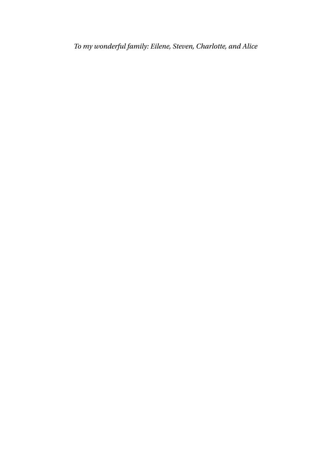*To my wonderful family: Eilene, Steven, Charlotte, and Alice*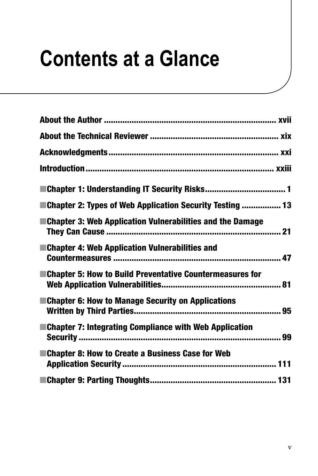## **Contents at a Glance**

| ■ Chapter 2: Types of Web Application Security Testing  13  |
|-------------------------------------------------------------|
| ■ Chapter 3: Web Application Vulnerabilities and the Damage |
| ■ Chapter 4: Web Application Vulnerabilities and            |
| ■ Chapter 5: How to Build Preventative Countermeasures for  |
| ■ Chapter 6: How to Manage Security on Applications         |
| ■ Chapter 7: Integrating Compliance with Web Application    |
| ■ Chapter 8: How to Create a Business Case for Web          |
|                                                             |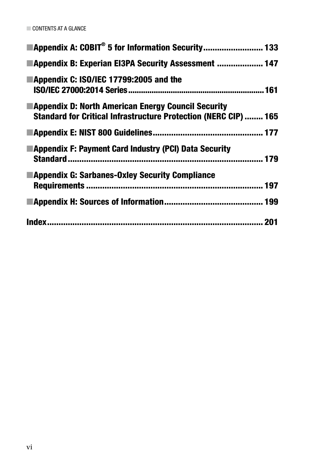#### CONTENTS AT A GLANCE

| ■Appendix B: Experian EI3PA Security Assessment  147                                                                            |
|---------------------------------------------------------------------------------------------------------------------------------|
| ■Appendix C: ISO/IEC 17799:2005 and the                                                                                         |
| <b>Example 12 Denotive Manufally Council Security</b><br><b>Standard for Critical Infrastructure Protection (NERC CIP)  165</b> |
|                                                                                                                                 |
| ■Appendix F: Payment Card Industry (PCI) Data Security                                                                          |
| <b>Example 12 Seart</b> A: Sarbanes-Oxley Security Compliance                                                                   |
|                                                                                                                                 |
|                                                                                                                                 |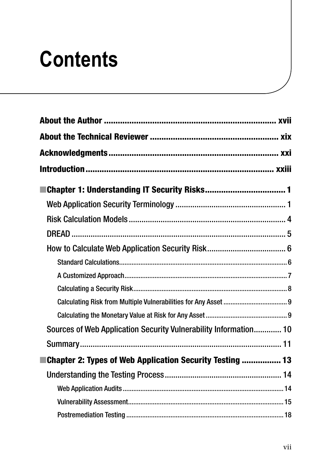## **Contents**

| Sources of Web Application Security Vulnerability Information 10 |  |
|------------------------------------------------------------------|--|
|                                                                  |  |
| Chapter 2: Types of Web Application Security Testing  13         |  |
|                                                                  |  |
|                                                                  |  |
|                                                                  |  |
|                                                                  |  |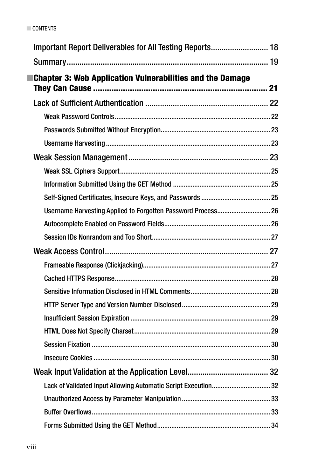| Important Report Deliverables for All Testing Reports 18       |    |
|----------------------------------------------------------------|----|
|                                                                |    |
| ■ Chapter 3: Web Application Vulnerabilities and the Damage    |    |
|                                                                |    |
|                                                                |    |
|                                                                |    |
|                                                                |    |
|                                                                |    |
|                                                                |    |
|                                                                |    |
|                                                                |    |
| Username Harvesting Applied to Forgotten Password Process 26   |    |
|                                                                |    |
|                                                                |    |
|                                                                |    |
|                                                                |    |
|                                                                |    |
|                                                                |    |
|                                                                |    |
|                                                                |    |
|                                                                |    |
|                                                                |    |
|                                                                |    |
| Weak Input Validation at the Application Level                 | 32 |
| Lack of Validated Input Allowing Automatic Script Execution 32 |    |
|                                                                |    |
|                                                                |    |
|                                                                |    |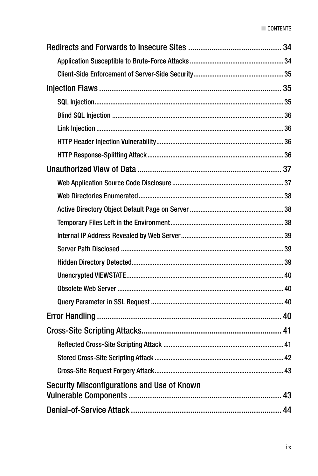| Security Misconfigurations and Use of Known |  |
|---------------------------------------------|--|
|                                             |  |
|                                             |  |
|                                             |  |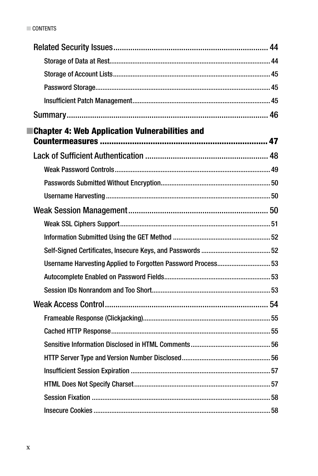| Chapter 4: Web Application Vulnerabilities and               |  |
|--------------------------------------------------------------|--|
|                                                              |  |
|                                                              |  |
|                                                              |  |
|                                                              |  |
|                                                              |  |
|                                                              |  |
|                                                              |  |
|                                                              |  |
|                                                              |  |
| Username Harvesting Applied to Forgotten Password Process 53 |  |
|                                                              |  |
|                                                              |  |
|                                                              |  |
|                                                              |  |
|                                                              |  |
|                                                              |  |
|                                                              |  |
|                                                              |  |
|                                                              |  |
|                                                              |  |
|                                                              |  |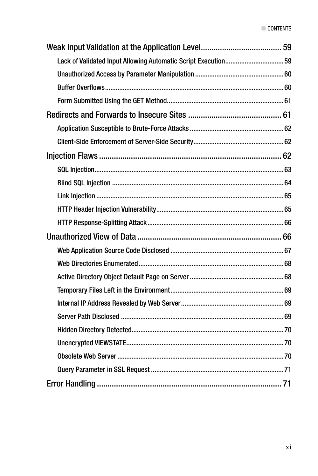| Lack of Validated Input Allowing Automatic Script Execution 59 |  |
|----------------------------------------------------------------|--|
|                                                                |  |
|                                                                |  |
|                                                                |  |
|                                                                |  |
|                                                                |  |
|                                                                |  |
|                                                                |  |
|                                                                |  |
|                                                                |  |
|                                                                |  |
|                                                                |  |
|                                                                |  |
|                                                                |  |
|                                                                |  |
|                                                                |  |
|                                                                |  |
|                                                                |  |
|                                                                |  |
|                                                                |  |
|                                                                |  |
|                                                                |  |
|                                                                |  |
|                                                                |  |
|                                                                |  |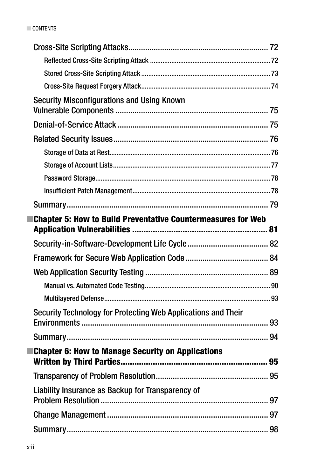| <b>Security Misconfigurations and Using Known</b>                   |  |
|---------------------------------------------------------------------|--|
|                                                                     |  |
|                                                                     |  |
|                                                                     |  |
|                                                                     |  |
|                                                                     |  |
|                                                                     |  |
|                                                                     |  |
|                                                                     |  |
| <b>Chapter 5: How to Build Preventative Countermeasures for Web</b> |  |
|                                                                     |  |
|                                                                     |  |
|                                                                     |  |
|                                                                     |  |
|                                                                     |  |
|                                                                     |  |
| Security Technology for Protecting Web Applications and Their       |  |
|                                                                     |  |
|                                                                     |  |
| <b>Chapter 6: How to Manage Security on Applications</b>            |  |
|                                                                     |  |
|                                                                     |  |
| Liability Insurance as Backup for Transparency of                   |  |
|                                                                     |  |
|                                                                     |  |
|                                                                     |  |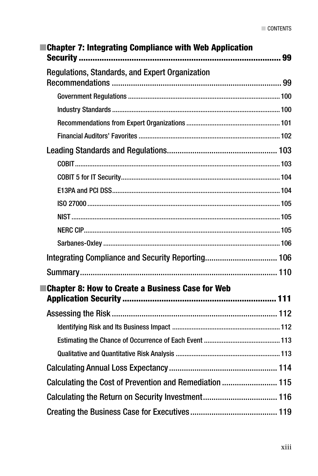| ■ Chapter 7: Integrating Compliance with Web Application |  |
|----------------------------------------------------------|--|
| Regulations, Standards, and Expert Organization          |  |
|                                                          |  |
|                                                          |  |
|                                                          |  |
|                                                          |  |
|                                                          |  |
|                                                          |  |
|                                                          |  |
|                                                          |  |
|                                                          |  |
|                                                          |  |
|                                                          |  |
|                                                          |  |
|                                                          |  |
|                                                          |  |
|                                                          |  |
| Chapter 8: How to Create a Business Case for Web         |  |
|                                                          |  |
|                                                          |  |
|                                                          |  |
|                                                          |  |
|                                                          |  |
| Calculating the Cost of Prevention and Remediation  115  |  |
|                                                          |  |
|                                                          |  |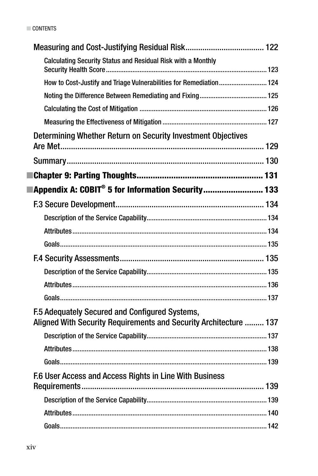#### CONTENTS

| Calculating Security Status and Residual Risk with a Monthly             |  |
|--------------------------------------------------------------------------|--|
| How to Cost-Justify and Triage Vulnerabilities for Remediation 124       |  |
|                                                                          |  |
|                                                                          |  |
|                                                                          |  |
| Determining Whether Return on Security Investment Objectives             |  |
|                                                                          |  |
|                                                                          |  |
|                                                                          |  |
| $\blacksquare$ Appendix A: COBIT $^\circ$ 5 for Information Security 133 |  |
|                                                                          |  |
|                                                                          |  |
|                                                                          |  |
|                                                                          |  |
|                                                                          |  |
|                                                                          |  |
|                                                                          |  |
|                                                                          |  |
| F.5 Adequately Secured and Configured Systems,                           |  |
| Aligned With Security Requirements and Security Architecture  137        |  |
|                                                                          |  |
|                                                                          |  |
|                                                                          |  |
| F.6 User Access and Access Rights in Line With Business                  |  |
|                                                                          |  |
|                                                                          |  |
|                                                                          |  |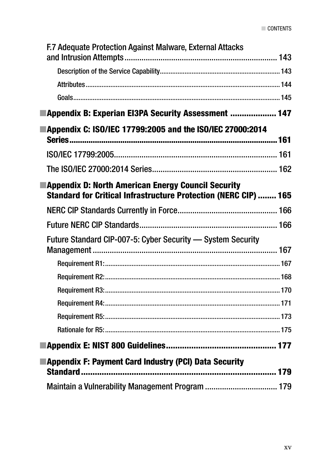| F.7 Adequate Protection Against Malware, External Attacks                                                                                   |  |
|---------------------------------------------------------------------------------------------------------------------------------------------|--|
|                                                                                                                                             |  |
|                                                                                                                                             |  |
|                                                                                                                                             |  |
| <b>Example 147</b> Appendix B: Experian EI3PA Security Assessment  147                                                                      |  |
| ■Appendix C: ISO/IEC 17799:2005 and the ISO/IEC 27000:2014                                                                                  |  |
|                                                                                                                                             |  |
|                                                                                                                                             |  |
| <b>Example 12 Denocity Disk Number 20 Hereon</b> Energy Council Security<br>Standard for Critical Infrastructure Protection (NERC CIP)  165 |  |
|                                                                                                                                             |  |
|                                                                                                                                             |  |
| Future Standard CIP-007-5: Cyber Security - System Security                                                                                 |  |
|                                                                                                                                             |  |
|                                                                                                                                             |  |
|                                                                                                                                             |  |
|                                                                                                                                             |  |
|                                                                                                                                             |  |
|                                                                                                                                             |  |
|                                                                                                                                             |  |
| Appendix F: Payment Card Industry (PCI) Data Security                                                                                       |  |
|                                                                                                                                             |  |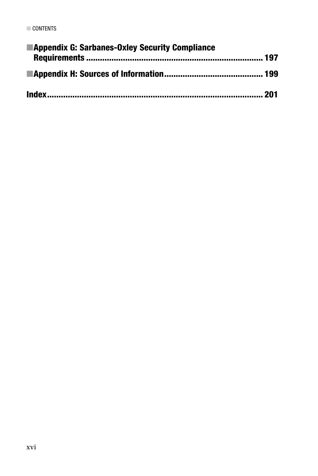| <b>Example 12 Seart Avenue</b> Security Compliance |  |
|----------------------------------------------------|--|
|                                                    |  |
|                                                    |  |
|                                                    |  |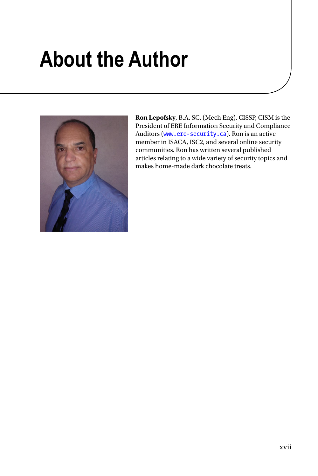## **About the Author**



**Ron Lepofsky**, B.A. SC. (Mech Eng), CISSP, CISM is the President of ERE Information Security and Compliance Auditors ([www.ere-security.ca](http://www.ere-security.ca)). Ron is an active member in ISACA, ISC2, and several online security communities. Ron has written several published articles relating to a wide variety of security topics and makes home-made dark chocolate treats.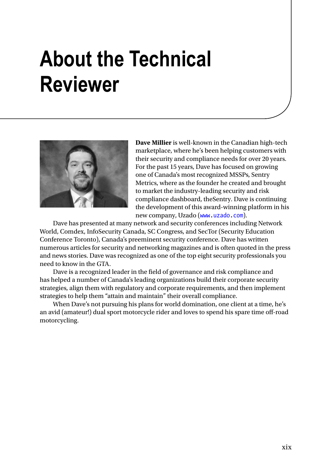## **About the Technical Reviewer**



**Dave Millier** is well-known in the Canadian high-tech marketplace, where he's been helping customers with their security and compliance needs for over 20 years. For the past 15 years, Dave has focused on growing one of Canada's most recognized MSSPs, Sentry Metrics, where as the founder he created and brought to market the industry-leading security and risk compliance dashboard, theSentry. Dave is continuing the development of this award-winning platform in his new company, Uzado (<www.uzado.com>).

Dave has presented at many network and security conferences including Network World, Comdex, InfoSecurity Canada, SC Congress, and SecTor (Security Education Conference Toronto), Canada's preeminent security conference. Dave has written numerous articles for security and networking magazines and is often quoted in the press and news stories. Dave was recognized as one of the top eight security professionals you need to know in the GTA.

Dave is a recognized leader in the field of governance and risk compliance and has helped a number of Canada's leading organizations build their corporate security strategies, align them with regulatory and corporate requirements, and then implement strategies to help them "attain and maintain" their overall compliance.

When Dave's not pursuing his plans for world domination, one client at a time, he's an avid (amateur!) dual sport motorcycle rider and loves to spend his spare time off-road motorcycling.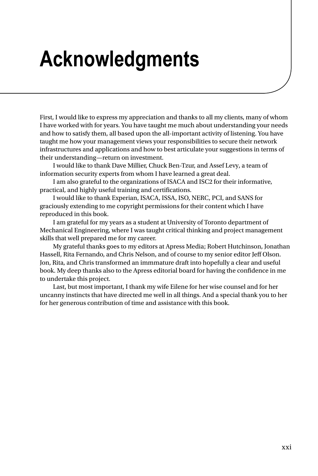## **Acknowledgments**

First, I would like to express my appreciation and thanks to all my clients, many of whom I have worked with for years. You have taught me much about understanding your needs and how to satisfy them, all based upon the all-important activity of listening. You have taught me how your management views your responsibilities to secure their network infrastructures and applications and how to best articulate your suggestions in terms of their understanding—return on investment.

I would like to thank Dave Millier, Chuck Ben-Tzur, and Assef Levy, a team of information security experts from whom I have learned a great deal.

I am also grateful to the organizations of ISACA and ISC2 for their informative, practical, and highly useful training and certifications.

I would like to thank Experian, ISACA, ISSA, ISO, NERC, PCI, and SANS for graciously extending to me copyright permissions for their content which I have reproduced in this book.

I am grateful for my years as a student at University of Toronto department of Mechanical Engineering, where I was taught critical thinking and project management skills that well prepared me for my career.

My grateful thanks goes to my editors at Apress Media; Robert Hutchinson, Jonathan Hassell, Rita Fernando, and Chris Nelson, and of course to my senior editor Jeff Olson. Jon, Rita, and Chris transformed an immmature draft into hopefully a clear and useful book. My deep thanks also to the Apress editorial board for having the confidence in me to undertake this project.

Last, but most important, I thank my wife Eilene for her wise counsel and for her uncanny instincts that have directed me well in all things. And a special thank you to her for her generous contribution of time and assistance with this book.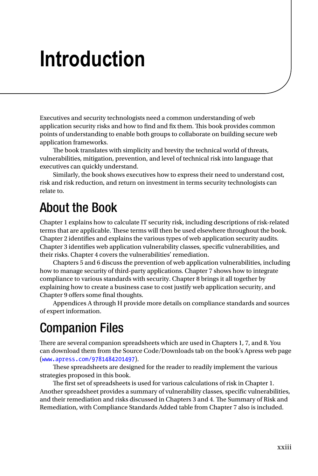## **Introduction**

Executives and security technologists need a common understanding of web application security risks and how to find and fix them. This book provides common points of understanding to enable both groups to collaborate on building secure web application frameworks.

The book translates with simplicity and brevity the technical world of threats, vulnerabilities, mitigation, prevention, and level of technical risk into language that executives can quickly understand.

Similarly, the book shows executives how to express their need to understand cost, risk and risk reduction, and return on investment in terms security technologists can relate to.

#### About the Book

Chapter 1 explains how to calculate IT security risk, including descriptions of risk-related terms that are applicable. These terms will then be used elsewhere throughout the book. Chapter 2 identifies and explains the various types of web application security audits. Chapter 3 identifies web application vulnerability classes, specific vulnerabilities, and their risks. Chapter 4 covers the vulnerabilities' remediation.

Chapters 5 and 6 discuss the prevention of web application vulnerabilities, including how to manage security of third-party applications. Chapter 7 shows how to integrate compliance to various standards with security. Chapter 8 brings it all together by explaining how to create a business case to cost justify web application security, and Chapter 9 offers some final thoughts.

Appendices A through H provide more details on compliance standards and sources of expert information.

### Companion Files

There are several companion spreadsheets which are used in Chapters 1, 7, and 8. You can download them from the Source Code/Downloads tab on the book's Apress web page (<www.apress.com/9781484201497>).

These spreadsheets are designed for the reader to readily implement the various strategies proposed in this book.

The first set of spreadsheets is used for various calculations of risk in Chapter 1. Another spreadsheet provides a summary of vulnerability classes, specific vulnerabilities, and their remediation and risks discussed in Chapters 3 and 4. The Summary of Risk and Remediation, with Compliance Standards Added table from Chapter 7 also is included.